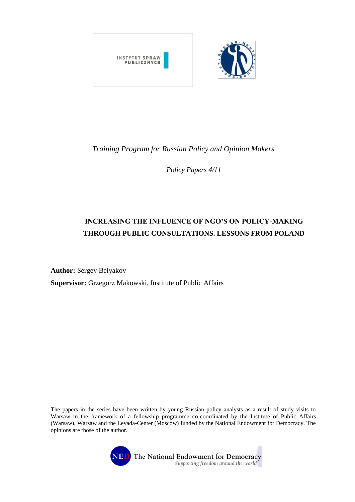

# *Training Program for Russian Policy and Opinion Makers*

*Policy Papers 4/11*

# **INCREASING THE INFLUENCE OF NGO'S ON POLICY-MAKING THROUGH PUBLIC CONSULTATIONS. LESSONS FROM POLAND**

**Author:** Sergey Belyakov

**Supervisor:** Grzegorz Makowski, Institute of Public Affairs

The papers in the series have been written by young Russian policy analysts as a result of study visits to Warsaw in the framework of a fellowship programme co-coordinated by the Institute of Public Affairs (Warsaw), Warsaw and the Levada-Center (Moscow) funded by the National Endowment for Democracy. The opinions are those of the author.

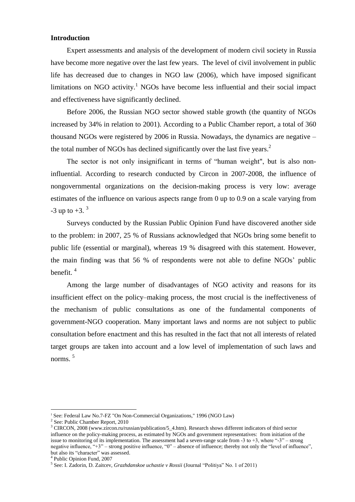## **Introduction**

Expert assessments and analysis of the development of modern civil society in Russia have become more negative over the last few years. The level of civil involvement in public life has decreased due to changes in NGO law (2006), which have imposed significant limitations on NGO activity.<sup>1</sup> NGOs have become less influential and their social impact and effectiveness have significantly declined.

Before 2006, the Russian NGO sector showed stable growth (the quantity of NGOs increased by 34% in relation to 2001). According to a Public Chamber report, a total of 360 thousand NGOs were registered by 2006 in Russia. Nowadays, the dynamics are negative – the total number of NGOs has declined significantly over the last five years.<sup>2</sup>

The sector is not only insignificant in terms of "human weight", but is also noninfluential. According to research conducted by Circon in 2007-2008, the influence of nongovernmental organizations on the decision-making process is very low: average estimates of the influence on various aspects range from 0 up to 0.9 on a scale varying from  $-3$  up to  $+3$ .  $3$ 

Surveys conducted by the Russian Public Opinion Fund have discovered another side to the problem: in 2007, 25 % of Russians acknowledged that NGOs bring some benefit to public life (essential or marginal), whereas 19 % disagreed with this statement. However, the main finding was that 56 % of respondents were not able to define NGOs' public benefit. 4

Among the large number of disadvantages of NGO activity and reasons for its insufficient effect on the policy–making process, the most crucial is the ineffectiveness of the mechanism of public consultations as one of the fundamental components of government-NGO cooperation. Many important laws and norms are not subject to public consultation before enactment and this has resulted in the fact that not all interests of related target groups are taken into account and a low level of implementation of such laws and norms. 5

<sup>&</sup>lt;sup>1</sup> See: Federal Law No.7-FZ "On Non-Commercial Organizations," 1996 (NGO Law)

<sup>&</sup>lt;sup>2</sup> See: Public Chamber Report, 2010

<sup>&</sup>lt;sup>3</sup> CIRCON, 2008 (www.zircon.ru/russian/publication/5\_4.htm). Research shows different indicators of third sector influence on the policy-making process, as estimated by NGOs and government representatives: from initiation of the issue to monitoring of its implementation. The assessment had a seven-range scale from -3 to +3, where "-3" – strong negative influence, "+3" – strong positive influence, "0" – absence of influence; thereby not only the "level of influence", but also its "character" was assessed.

<sup>4</sup> Public Opinion Fund, 2007

<sup>5</sup> See: I. Zadorin, D. Zaitcev, *Grazhdanskoe uchastie v Rossii* (Journal "Politiya" No. 1 of 2011)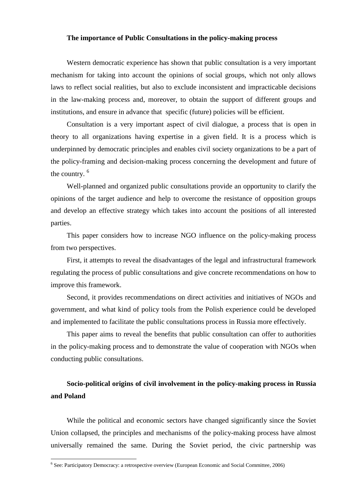## **The importance of Public Consultations in the policy-making process**

Western democratic experience has shown that public consultation is a very important mechanism for taking into account the opinions of social groups, which not only allows laws to reflect social realities, but also to exclude inconsistent and impracticable decisions in the law-making process and, moreover, to obtain the support of different groups and institutions, and ensure in advance that specific (future) policies will be efficient.

Consultation is a very important aspect of civil dialogue, a process that is open in theory to all organizations having expertise in a given field. It is a process which is underpinned by democratic principles and enables civil society organizations to be a part of the policy-framing and decision-making process concerning the development and future of the country. <sup>6</sup>

Well-planned and organized public consultations provide an opportunity to clarify the opinions of the target audience and help to overcome the resistance of opposition groups and develop an effective strategy which takes into account the positions of all interested parties.

This paper considers how to increase NGO influence on the policy-making process from two perspectives.

First, it attempts to reveal the disadvantages of the legal and infrastructural framework regulating the process of public consultations and give concrete recommendations on how to improve this framework.

Second, it provides recommendations on direct activities and initiatives of NGOs and government, and what kind of policy tools from the Polish experience could be developed and implemented to facilitate the public consultations process in Russia more effectively.

This paper aims to reveal the benefits that public consultation can offer to authorities in the policy-making process and to demonstrate the value of cooperation with NGOs when conducting public consultations.

# **Socio-political origins of civil involvement in the policy-making process in Russia and Poland**

While the political and economic sectors have changed significantly since the Soviet Union collapsed, the principles and mechanisms of the policy-making process have almost universally remained the same. During the Soviet period, the civic partnership was

<sup>6</sup> See: Participatory Democracy: a retrospective overview (European Economic and Social Committee, 2006)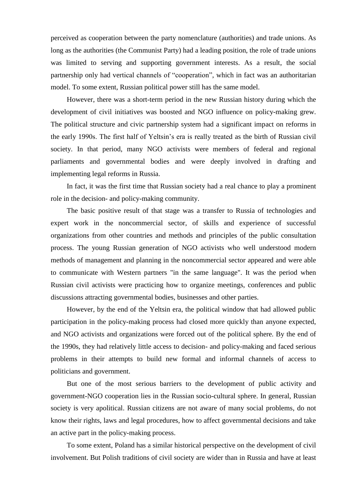perceived as cooperation between the party nomenclature (authorities) and trade unions. As long as the authorities (the Communist Party) had a leading position, the role of trade unions was limited to serving and supporting government interests. As a result, the social partnership only had vertical channels of "cooperation", which in fact was an authoritarian model. To some extent, Russian political power still has the same model.

However, there was a short-term period in the new Russian history during which the development of civil initiatives was boosted and NGO influence on policy-making grew. The political structure and civic partnership system had a significant impact on reforms in the early 1990s. The first half of Yeltsin's era is really treated as the birth of Russian civil society. In that period, many NGO activists were members of federal and regional parliaments and governmental bodies and were deeply involved in drafting and implementing legal reforms in Russia.

In fact, it was the first time that Russian society had a real chance to play a prominent role in the decision- and policy-making community.

The basic positive result of that stage was a transfer to Russia of technologies and expert work in the noncommercial sector, of skills and experience of successful organizations from other countries and methods and principles of the public consultation process. The young Russian generation of NGO activists who well understood modern methods of management and planning in the noncommercial sector appeared and were able to communicate with Western partners "in the same language". It was the period when Russian civil activists were practicing how to organize meetings, conferences and public discussions attracting governmental bodies, businesses and other parties.

However, by the end of the Yeltsin era, the political window that had allowed public participation in the policy-making process had closed more quickly than anyone expected, and NGO activists and organizations were forced out of the political sphere. By the end of the 1990s, they had relatively little access to decision- and policy-making and faced serious problems in their attempts to build new formal and informal channels of access to politicians and government.

But one of the most serious barriers to the development of public activity and government-NGO cooperation lies in the Russian socio-cultural sphere. In general, Russian society is very apolitical. Russian citizens are not aware of many social problems, do not know their rights, laws and legal procedures, how to affect governmental decisions and take an active part in the policy-making process.

To some extent, Poland has a similar historical perspective on the development of civil involvement. But Polish traditions of civil society are wider than in Russia and have at least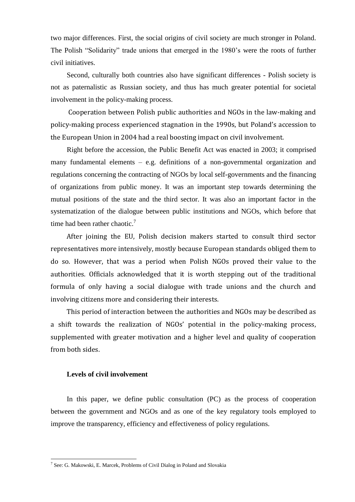two major differences. First, the social origins of civil society are much stronger in Poland. The Polish "Solidarity" trade unions that emerged in the 1980's were the roots of further civil initiatives.

Second, culturally both countries also have significant differences - Polish society is not as paternalistic as Russian society, and thus has much greater potential for societal involvement in the policy-making process.

Cooperation between Polish public authorities and NGOs in the law-making and policy-making process experienced stagnation in the 1990s, but Poland's accession to the European Union in 2004 had a real boosting impact on civil involvement.

Right before the accession, the Public Benefit Act was enacted in 2003; it comprised many fundamental elements – e.g. definitions of a non-governmental organization and regulations concerning the contracting of NGOs by local self-governments and the financing of organizations from public money. It was an important step towards determining the mutual positions of the state and the third sector. It was also an important factor in the systematization of the dialogue between public institutions and NGOs, which before that time had been rather chaotic.<sup>7</sup>

After joining the EU, Polish decision makers started to consult third sector representatives more intensively, mostly because European standards obliged them to do so. However, that was a period when Polish NGOs proved their value to the authorities. Officials acknowledged that it is worth stepping out of the traditional formula of only having a social dialogue with trade unions and the church and involving citizens more and considering their interests.

This period of interaction between the authorities and NGOs may be described as a shift towards the realization of NGOs' potential in the policy-making process, supplemented with greater motivation and a higher level and quality of cooperation from both sides.

#### **Levels of civil involvement**

<u>.</u>

In this paper, we define public consultation (PC) as the process of cooperation between the government and NGOs and as one of the key regulatory tools employed to improve the transparency, efficiency and effectiveness of policy regulations.

<sup>&</sup>lt;sup>7</sup> See: G. Makowski, E. Marcek, Problems of Civil Dialog in Poland and Slovakia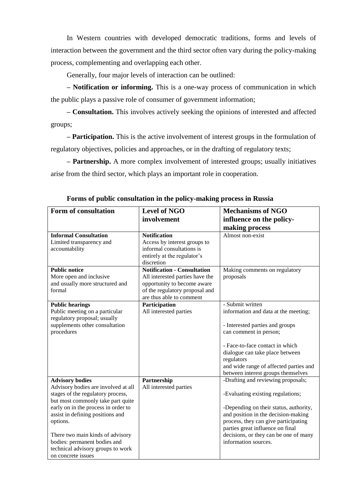In Western countries with developed democratic traditions, forms and levels of interaction between the government and the third sector often vary during the policy-making process, complementing and overlapping each other.

Generally, four major levels of interaction can be outlined:

**– Notification or informing.** This is a one-way process of communication in which the public plays a passive role of consumer of government information;

**– Consultation.** This involves actively seeking the opinions of interested and affected groups;

**– Participation.** This is the active involvement of interest groups in the formulation of regulatory objectives, policies and approaches, or in the drafting of regulatory texts;

**– Partnership.** A more complex involvement of interested groups; usually initiatives arise from the third sector, which plays an important role in cooperation.

| <b>Form of consultation</b>                              | <b>Level of NGO</b><br>involvement                        | <b>Mechanisms of NGO</b><br>influence on the policy-                      |
|----------------------------------------------------------|-----------------------------------------------------------|---------------------------------------------------------------------------|
|                                                          |                                                           | making process                                                            |
| <b>Informal Consultation</b>                             | <b>Notification</b>                                       | Almost non-exist                                                          |
| Limited transparency and                                 | Access by interest groups to<br>informal consultations is |                                                                           |
| accountability                                           | entirely at the regulator's                               |                                                                           |
|                                                          | discretion                                                |                                                                           |
| <b>Public notice</b>                                     | <b>Notification - Consultation</b>                        | Making comments on regulatory                                             |
| More open and inclusive                                  | All interested parties have the                           | proposals                                                                 |
| and usually more structured and                          | opportunity to become aware                               |                                                                           |
| formal                                                   | of the regulatory proposal and                            |                                                                           |
|                                                          | are thus able to comment                                  |                                                                           |
| <b>Public hearings</b><br>Public meeting on a particular | Participation                                             | - Submit written                                                          |
| regulatory proposal; usually                             | All interested parties                                    | information and data at the meeting;                                      |
| supplements other consultation                           |                                                           | - Interested parties and groups                                           |
| procedures                                               |                                                           | can comment in person;                                                    |
|                                                          |                                                           |                                                                           |
|                                                          |                                                           | - Face-to-face contact in which                                           |
|                                                          |                                                           | dialogue can take place between                                           |
|                                                          |                                                           | regulators<br>and wide range of affected parties and                      |
|                                                          |                                                           | between interest groups themselves                                        |
| <b>Advisory bodies</b>                                   | Partnership                                               | -Drafting and reviewing proposals;                                        |
| Advisory bodies are involved at all                      | All interested parties                                    |                                                                           |
| stages of the regulatory process,                        |                                                           | -Evaluating existing regulations;                                         |
| but most commonly take part quite                        |                                                           |                                                                           |
| early on in the process in order to                      |                                                           | -Depending on their status, authority,                                    |
| assist in defining positions and                         |                                                           | and position in the decision-making                                       |
| options.                                                 |                                                           | process, they can give participating                                      |
| There two main kinds of advisory                         |                                                           | parties great influence on final<br>decisions, or they can be one of many |
| bodies: permanent bodies and                             |                                                           | information sources.                                                      |
| technical advisory groups to work                        |                                                           |                                                                           |
| on concrete issues                                       |                                                           |                                                                           |

**Forms of public consultation in the policy-making process in Russia**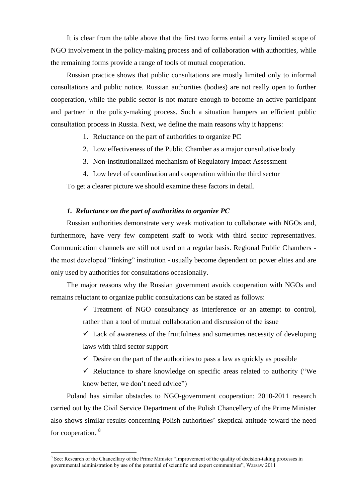It is clear from the table above that the first two forms entail a very limited scope of NGO involvement in the policy-making process and of collaboration with authorities, while the remaining forms provide a range of tools of mutual cooperation.

Russian practice shows that public consultations are mostly limited only to informal consultations and public notice. Russian authorities (bodies) are not really open to further cooperation, while the public sector is not mature enough to become an active participant and partner in the policy-making process. Such a situation hampers an efficient public consultation process in Russia. Next, we define the main reasons why it happens:

- 1. Reluctance on the part of authorities to organize PC
- 2. Low effectiveness of the Public Chamber as a major consultative body
- 3. Non-institutionalized mechanism of Regulatory Impact Assessment
- 4. Low level of coordination and cooperation within the third sector

To get a clearer picture we should examine these factors in detail.

#### *1. Reluctance on the part of authorities to organize PC*

Russian authorities demonstrate very weak motivation to collaborate with NGOs and, furthermore, have very few competent staff to work with third sector representatives. Communication channels are still not used on a regular basis. Regional Public Chambers the most developed "linking" institution - usually become dependent on power elites and are only used by authorities for consultations occasionally.

The major reasons why the Russian government avoids cooperation with NGOs and remains reluctant to organize public consultations can be stated as follows:

> $\checkmark$  Treatment of NGO consultancy as interference or an attempt to control, rather than a tool of mutual collaboration and discussion of the issue

> $\checkmark$  Lack of awareness of the fruitfulness and sometimes necessity of developing laws with third sector support

- $\checkmark$  Desire on the part of the authorities to pass a law as quickly as possible
- $\checkmark$  Reluctance to share knowledge on specific areas related to authority ("We know better, we don't need advice")

Poland has similar obstacles to NGO-government cooperation: 2010-2011 research carried out by the Civil Service Department of the Polish Chancellery of the Prime Minister also shows similar results concerning Polish authorities' skeptical attitude toward the need for cooperation. <sup>8</sup>

<sup>&</sup>lt;sup>8</sup> See: Research of the Chancellary of the Prime Minister "Improvement of the quality of decision-taking processes in governmental administration by use of the potential of scientific and expert communities", Warsaw 2011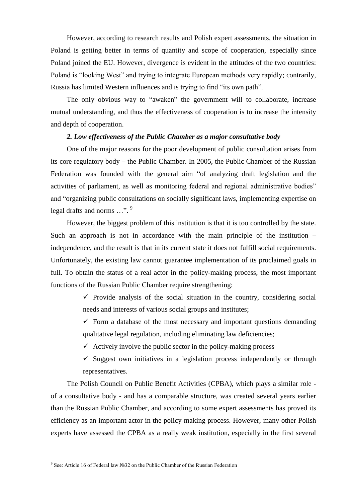However, according to research results and Polish expert assessments, the situation in Poland is getting better in terms of quantity and scope of cooperation, especially since Poland joined the EU. However, divergence is evident in the attitudes of the two countries: Poland is "looking West" and trying to integrate European methods very rapidly; contrarily, Russia has limited Western influences and is trying to find "its own path".

The only obvious way to "awaken" the government will to collaborate, increase mutual understanding, and thus the effectiveness of cooperation is to increase the intensity and depth of cooperation.

#### *2. Low effectiveness of the Public Chamber as a major consultative body*

One of the major reasons for the poor development of public consultation arises from its core regulatory body – the Public Chamber. In 2005, the Public Chamber of the Russian Federation was founded with the general aim "of analyzing draft legislation and the activities of parliament, as well as monitoring federal and regional administrative bodies" and "organizing public consultations on socially significant laws, implementing expertise on legal drafts and norms ...".<sup>9</sup>

However, the biggest problem of this institution is that it is too controlled by the state. Such an approach is not in accordance with the main principle of the institution – independence, and the result is that in its current state it does not fulfill social requirements. Unfortunately, the existing law cannot guarantee implementation of its proclaimed goals in full. To obtain the status of a real actor in the policy-making process, the most important functions of the Russian Public Chamber require strengthening:

> $\checkmark$  Provide analysis of the social situation in the country, considering social needs and interests of various social groups and institutes;

> $\checkmark$  Form a database of the most necessary and important questions demanding qualitative legal regulation, including eliminating law deficiencies;

 $\checkmark$  Actively involve the public sector in the policy-making process

 $\checkmark$  Suggest own initiatives in a legislation process independently or through representatives.

The Polish Council on Public Benefit Activities (CPBA), which plays a similar role of a consultative body - and has a comparable structure, was created several years earlier than the Russian Public Chamber, and according to some expert assessments has proved its efficiency as an important actor in the policy-making process. However, many other Polish experts have assessed the CPBA as a really weak institution, especially in the first several

<sup>&</sup>lt;sup>9</sup> See: Article 16 of Federal law №32 on the Public Chamber of the Russian Federation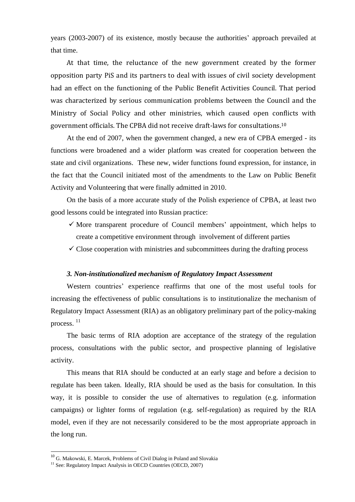years (2003-2007) of its existence, mostly because the authorities' approach prevailed at that time.

At that time, the reluctance of the new government created by the former opposition party PiS and its partners to deal with issues of civil society development had an effect on the functioning of the Public Benefit Activities Council. That period was characterized by serious communication problems between the Council and the Ministry of Social Policy and other ministries, which caused open conflicts with government officials. The CPBA did not receive draft-laws for consultations.<sup>10</sup>

At the end of 2007, when the government changed, a new era of CPBA emerged - its functions were broadened and a wider platform was created for cooperation between the state and civil organizations. These new, wider functions found expression, for instance, in the fact that the Council initiated most of the amendments to the Law on Public Benefit Activity and Volunteering that were finally admitted in 2010.

On the basis of a more accurate study of the Polish experience of CPBA, at least two good lessons could be integrated into Russian practice:

- $\checkmark$  More transparent procedure of Council members' appointment, which helps to create a competitive environment through involvement of different parties
- $\checkmark$  Close cooperation with ministries and subcommittees during the drafting process

#### *3. Non-institutionalized mechanism of Regulatory Impact Assessment*

Western countries' experience reaffirms that one of the most useful tools for increasing the effectiveness of public consultations is to institutionalize the mechanism of Regulatory Impact Assessment (RIA) as an obligatory preliminary part of the policy-making process. 11

The basic terms of RIA adoption are acceptance of the strategy of the regulation process, consultations with the public sector, and prospective planning of legislative activity.

This means that RIA should be conducted at an early stage and before a decision to regulate has been taken. Ideally, RIA should be used as the basis for consultation. In this way, it is possible to consider the use of alternatives to regulation (e.g. information campaigns) or lighter forms of regulation (e.g. self-regulation) as required by the RIA model, even if they are not necessarily considered to be the most appropriate approach in the long run.

<sup>&</sup>lt;sup>10</sup> G. Makowski, E. Marcek, Problems of Civil Dialog in Poland and Slovakia

<sup>&</sup>lt;sup>11</sup> See: Regulatory Impact Analysis in OECD Countries (OECD, 2007)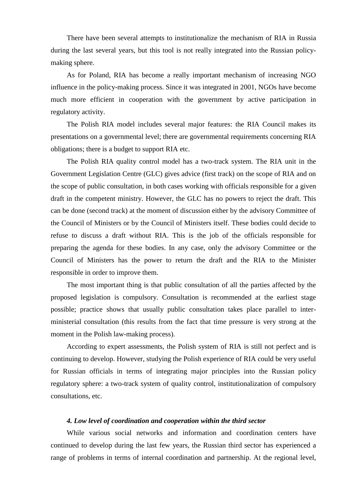There have been several attempts to institutionalize the mechanism of RIA in Russia during the last several years, but this tool is not really integrated into the Russian policymaking sphere.

As for Poland, RIA has become a really important mechanism of increasing NGO influence in the policy-making process. Since it was integrated in 2001, NGOs have become much more efficient in cooperation with the government by active participation in regulatory activity.

The Polish RIA model includes several major features: the RIA Council makes its presentations on a governmental level; there are governmental requirements concerning RIA obligations; there is a budget to support RIA etc.

The Polish RIA quality control model has a two-track system. The RIA unit in the Government Legislation Centre (GLC) gives advice (first track) on the scope of RIA and on the scope of public consultation, in both cases working with officials responsible for a given draft in the competent ministry. However, the GLC has no powers to reject the draft. This can be done (second track) at the moment of discussion either by the advisory Committee of the Council of Ministers or by the Council of Ministers itself. These bodies could decide to refuse to discuss a draft without RIA. This is the job of the officials responsible for preparing the agenda for these bodies. In any case, only the advisory Committee or the Council of Ministers has the power to return the draft and the RIA to the Minister responsible in order to improve them.

The most important thing is that public consultation of all the parties affected by the proposed legislation is compulsory. Consultation is recommended at the earliest stage possible; practice shows that usually public consultation takes place parallel to interministerial consultation (this results from the fact that time pressure is very strong at the moment in the Polish law-making process).

According to expert assessments, the Polish system of RIA is still not perfect and is continuing to develop. However, studying the Polish experience of RIA could be very useful for Russian officials in terms of integrating major principles into the Russian policy regulatory sphere: a two-track system of quality control, institutionalization of compulsory consultations, etc.

#### *4. Low level of coordination and cooperation within the third sector*

While various social networks and information and coordination centers have continued to develop during the last few years, the Russian third sector has experienced a range of problems in terms of internal coordination and partnership. At the regional level,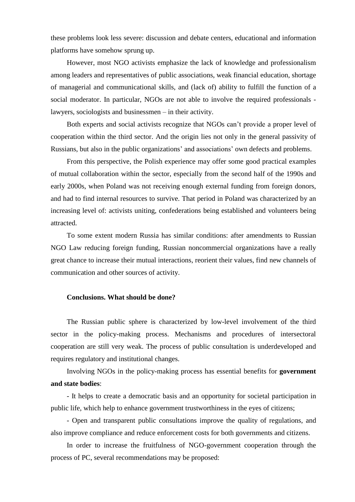these problems look less severe: discussion and debate centers, educational and information platforms have somehow sprung up.

However, most NGO activists emphasize the lack of knowledge and professionalism among leaders and representatives of public associations, weak financial education, shortage of managerial and communicational skills, and (lack of) ability to fulfill the function of a social moderator. In particular, NGOs are not able to involve the required professionals lawyers, sociologists and businessmen – in their activity.

Both experts and social activists recognize that NGOs can't provide a proper level of cooperation within the third sector. And the origin lies not only in the general passivity of Russians, but also in the public organizations' and associations' own defects and problems.

From this perspective, the Polish experience may offer some good practical examples of mutual collaboration within the sector, especially from the second half of the 1990s and early 2000s, when Poland was not receiving enough external funding from foreign donors, and had to find internal resources to survive. That period in Poland was characterized by an increasing level of: activists uniting, confederations being established and volunteers being attracted.

To some extent modern Russia has similar conditions: after amendments to Russian NGO Law reducing foreign funding, Russian noncommercial organizations have a really great chance to increase their mutual interactions, reorient their values, find new channels of communication and other sources of activity.

## **Conclusions. What should be done?**

The Russian public sphere is characterized by low-level involvement of the third sector in the policy-making process. Mechanisms and procedures of intersectoral cooperation are still very weak. The process of public consultation is underdeveloped and requires regulatory and institutional changes.

Involving NGOs in the policy-making process has essential benefits for **government and state bodies**:

- It helps to create a democratic basis and an opportunity for societal participation in public life, which help to enhance government trustworthiness in the eyes of citizens;

- Open and transparent public consultations improve the quality of regulations, and also improve compliance and reduce enforcement costs for both governments and citizens.

In order to increase the fruitfulness of NGO-government cooperation through the process of PC, several recommendations may be proposed: